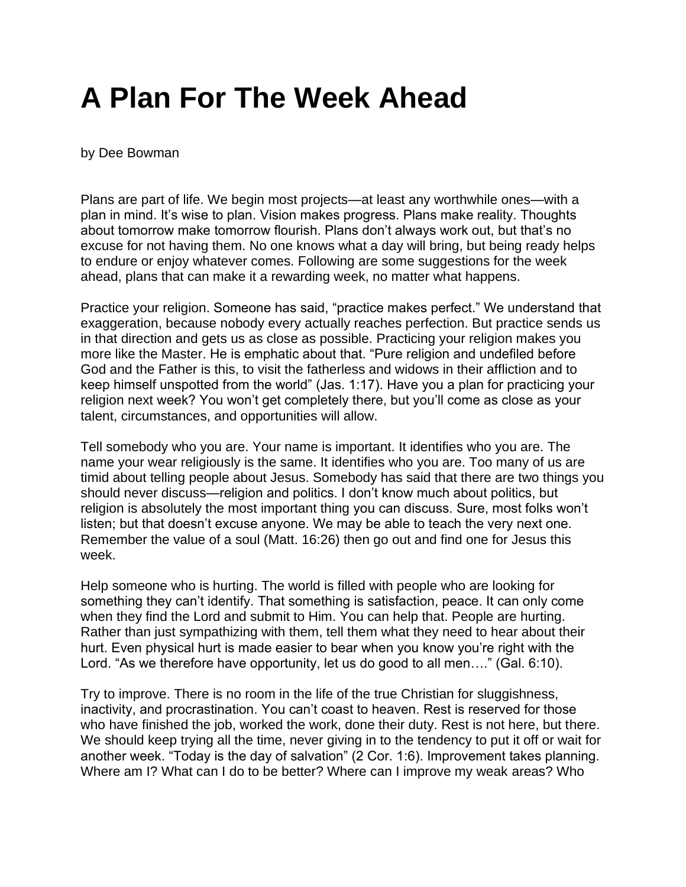## **A Plan For The Week Ahead**

by Dee Bowman

Plans are part of life. We begin most projects—at least any worthwhile ones—with a plan in mind. It's wise to plan. Vision makes progress. Plans make reality. Thoughts about tomorrow make tomorrow flourish. Plans don't always work out, but that's no excuse for not having them. No one knows what a day will bring, but being ready helps to endure or enjoy whatever comes. Following are some suggestions for the week ahead, plans that can make it a rewarding week, no matter what happens.

Practice your religion. Someone has said, "practice makes perfect." We understand that exaggeration, because nobody every actually reaches perfection. But practice sends us in that direction and gets us as close as possible. Practicing your religion makes you more like the Master. He is emphatic about that. "Pure religion and undefiled before God and the Father is this, to visit the fatherless and widows in their affliction and to keep himself unspotted from the world" (Jas. 1:17). Have you a plan for practicing your religion next week? You won't get completely there, but you'll come as close as your talent, circumstances, and opportunities will allow.

Tell somebody who you are. Your name is important. It identifies who you are. The name your wear religiously is the same. It identifies who you are. Too many of us are timid about telling people about Jesus. Somebody has said that there are two things you should never discuss—religion and politics. I don't know much about politics, but religion is absolutely the most important thing you can discuss. Sure, most folks won't listen; but that doesn't excuse anyone. We may be able to teach the very next one. Remember the value of a soul (Matt. 16:26) then go out and find one for Jesus this week.

Help someone who is hurting. The world is filled with people who are looking for something they can't identify. That something is satisfaction, peace. It can only come when they find the Lord and submit to Him. You can help that. People are hurting. Rather than just sympathizing with them, tell them what they need to hear about their hurt. Even physical hurt is made easier to bear when you know you're right with the Lord. "As we therefore have opportunity, let us do good to all men…." (Gal. 6:10).

Try to improve. There is no room in the life of the true Christian for sluggishness, inactivity, and procrastination. You can't coast to heaven. Rest is reserved for those who have finished the job, worked the work, done their duty. Rest is not here, but there. We should keep trying all the time, never giving in to the tendency to put it off or wait for another week. "Today is the day of salvation" (2 Cor. 1:6). Improvement takes planning. Where am I? What can I do to be better? Where can I improve my weak areas? Who